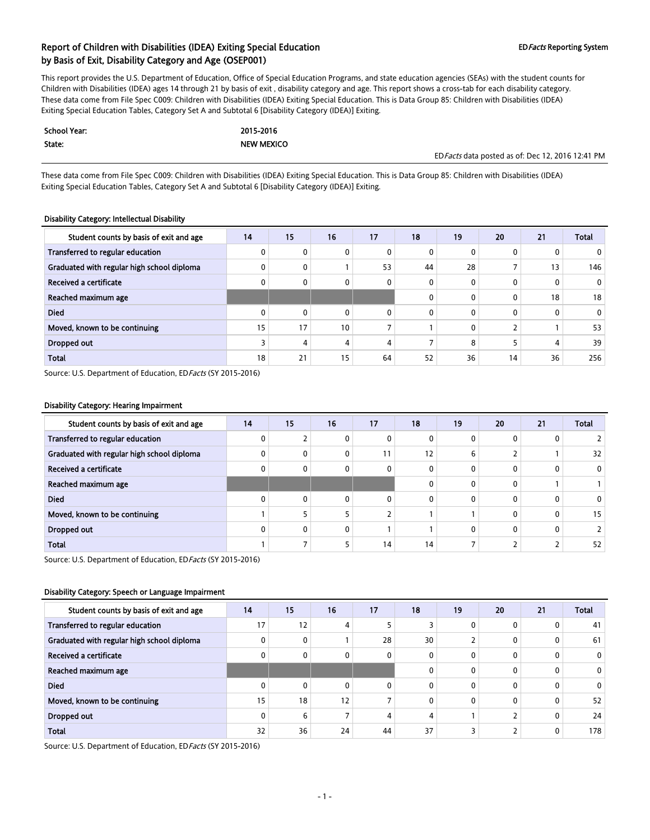This report provides the U.S. Department of Education, Office of Special Education Programs, and state education agencies (SEAs) with the student counts for Children with Disabilities (IDEA) ages 14 through 21 by basis of exit , disability category and age. This report shows a cross-tab for each disability category. These data come from File Spec C009: Children with Disabilities (IDEA) Exiting Special Education. This is Data Group 85: Children with Disabilities (IDEA) Exiting Special Education Tables, Category Set A and Subtotal 6 [Disability Category (IDEA)] Exiting.

| <b>School Year:</b> | 2015-2016         |                                                   |
|---------------------|-------------------|---------------------------------------------------|
| State:              | <b>NEW MEXICO</b> |                                                   |
|                     |                   | ED Facts data posted as of: Dec 12, 2016 12:41 PM |

These data come from File Spec C009: Children with Disabilities (IDEA) Exiting Special Education. This is Data Group 85: Children with Disabilities (IDEA) Exiting Special Education Tables, Category Set A and Subtotal 6 [Disability Category (IDEA)] Exiting.

#### Disability Category: Intellectual Disability

| Student counts by basis of exit and age    | 14 | 15           | 16              | 17       | 18       | 19 | 20       | 21           | <b>Total</b>   |
|--------------------------------------------|----|--------------|-----------------|----------|----------|----|----------|--------------|----------------|
| Transferred to regular education           |    | $\mathbf{0}$ | 0               | 0        | 0        |    | 0        |              | 0              |
| Graduated with regular high school diploma |    | $\mathbf{0}$ |                 | 53       | 44       | 28 |          | 13           | 146            |
| Received a certificate                     |    | $\mathbf{0}$ | 0               | 0        | 0        | 0  | $\Omega$ | $\mathbf{0}$ | $\overline{0}$ |
| Reached maximum age                        |    |              |                 |          | 0        |    | 0        | 18           | 18             |
| <b>Died</b>                                |    | $\mathbf{0}$ | 0               | $\Omega$ | $\Omega$ |    | 0        | 0            | $\mathbf{0}$   |
| Moved, known to be continuing              | 15 | 17           | 10 <sup>°</sup> |          |          | 0  |          |              | 53             |
| <b>Dropped out</b>                         |    | 4            | 4               | 4        |          | 8  |          | 4            | 39             |
| <b>Total</b>                               | 18 | 21           | 15              | 64       | 52       | 36 | 14       | 36           | 256            |

Source: U.S. Department of Education, ED Facts (SY 2015-2016)

#### Disability Category: Hearing Impairment

| Student counts by basis of exit and age    | 14 | 15           | 16          | 17       | 18 | 19 | 20       | 21 | <b>Total</b> |
|--------------------------------------------|----|--------------|-------------|----------|----|----|----------|----|--------------|
| Transferred to regular education           |    |              | 0           | 0        | 0  |    | 0        | 0  |              |
| Graduated with regular high school diploma |    | 0            | 0           | 11       | 12 | b  |          |    | 32           |
| Received a certificate                     |    | 0            | $\mathbf 0$ | 0        | 0  |    | 0        | 0  | $\mathbf{0}$ |
| Reached maximum age                        |    |              |             |          | 0  |    | 0        |    |              |
| <b>Died</b>                                |    | $\mathbf{0}$ | $\Omega$    | $\Omega$ | 0  |    | 0        | 0  | 0            |
| Moved, known to be continuing              |    |              |             |          |    |    | $\Omega$ | 0  | 15           |
| <b>Dropped out</b>                         |    | 0            | $\mathbf 0$ |          |    |    | 0        | 0  |              |
| <b>Total</b>                               |    |              |             | 14       | 14 |    |          |    | 52           |

Source: U.S. Department of Education, ED Facts (SY 2015-2016)

#### Disability Category: Speech or Language Impairment

| Student counts by basis of exit and age    | 14 | 15       | 16 | 17           | 18       | 19 | 20       | 21 | <b>Total</b>   |
|--------------------------------------------|----|----------|----|--------------|----------|----|----------|----|----------------|
| Transferred to regular education           | 17 | 12       | 4  |              |          |    | 0        |    | 41             |
| Graduated with regular high school diploma |    | 0        |    | 28           | 30       |    | 0        | 0  | 61             |
| Received a certificate                     |    | 0        | 0  | $\mathbf{0}$ | 0        |    | 0        | 0  | $\mathbf{0}$   |
| Reached maximum age                        |    |          |    |              | $\Omega$ |    | 0        | 0  | $\overline{0}$ |
| <b>Died</b>                                |    | $\Omega$ | 0  | 0            | $\Omega$ | 0  | 0        | 0  | $\mathbf{0}$   |
| Moved, known to be continuing              | 15 | 18       | 12 |              | 0        | 0  | $\Omega$ | 0  | 52             |
| Dropped out                                |    | 6        |    | 4            | 4        |    |          | 0  | 24             |
| <b>Total</b>                               | 32 | 36       | 24 | 44           | 37       |    |          | 0  | 178            |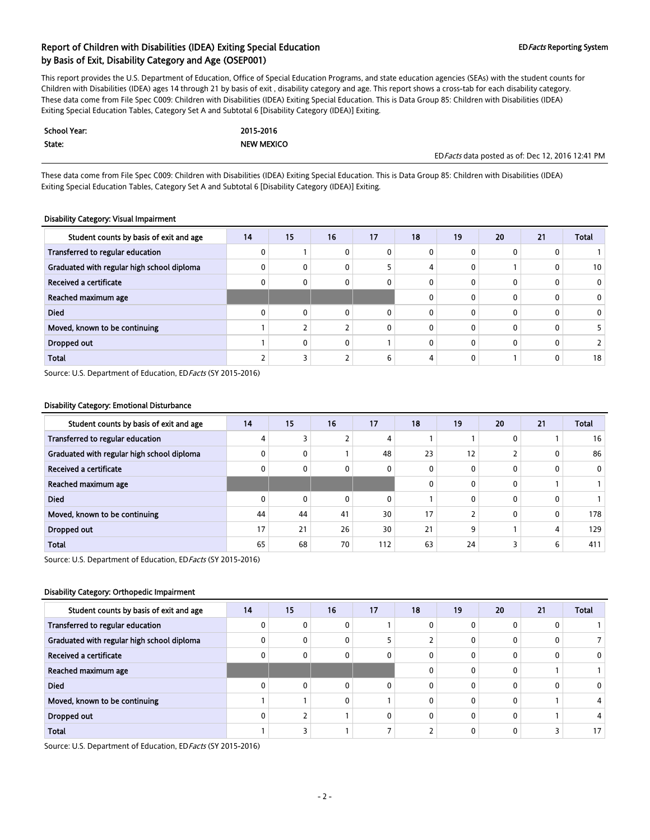This report provides the U.S. Department of Education, Office of Special Education Programs, and state education agencies (SEAs) with the student counts for Children with Disabilities (IDEA) ages 14 through 21 by basis of exit , disability category and age. This report shows a cross-tab for each disability category. These data come from File Spec C009: Children with Disabilities (IDEA) Exiting Special Education. This is Data Group 85: Children with Disabilities (IDEA) Exiting Special Education Tables, Category Set A and Subtotal 6 [Disability Category (IDEA)] Exiting.

| <b>School Year:</b> | 2015-2016         |                                                   |
|---------------------|-------------------|---------------------------------------------------|
| State:              | <b>NEW MEXICO</b> |                                                   |
|                     |                   | ED Facts data posted as of: Dec 12, 2016 12:41 PM |

These data come from File Spec C009: Children with Disabilities (IDEA) Exiting Special Education. This is Data Group 85: Children with Disabilities (IDEA) Exiting Special Education Tables, Category Set A and Subtotal 6 [Disability Category (IDEA)] Exiting.

#### Disability Category: Visual Impairment

| Student counts by basis of exit and age    | 14 | 15           | 16           | 17 | 18       | 19 | 20           | 21           | <b>Total</b> |
|--------------------------------------------|----|--------------|--------------|----|----------|----|--------------|--------------|--------------|
| Transferred to regular education           |    |              | 0            | 0  | 0        |    | 0            | 0            |              |
| Graduated with regular high school diploma |    | 0            | 0            |    | 4        |    |              | 0            | 10           |
| Received a certificate                     |    | 0            | 0            | 0  | 0        |    | $\mathbf{0}$ | 0            |              |
| Reached maximum age                        |    |              |              |    | 0        |    | $\mathbf{0}$ | 0            |              |
| <b>Died</b>                                |    | $\mathbf{0}$ | 0            | 0  | 0        |    | 0            | $\mathbf{0}$ |              |
| Moved, known to be continuing              |    |              | <sup>-</sup> | 0  | $\Omega$ |    | $\mathbf{0}$ | 0            |              |
| Dropped out                                |    | $\mathbf{0}$ | 0            |    | 0        |    | 0            | 0            |              |
| <b>Total</b>                               |    |              | 2            | 6  | 4        |    |              | 0            | 18           |

Source: U.S. Department of Education, ED Facts (SY 2015-2016)

#### Disability Category: Emotional Disturbance

| Student counts by basis of exit and age    | 14 | 15           | 16 | 17  | 18 | 19 | 20           | 21 | <b>Total</b> |
|--------------------------------------------|----|--------------|----|-----|----|----|--------------|----|--------------|
| Transferred to regular education           |    | 3            |    | 4   |    |    | $\mathbf{0}$ |    | 16           |
| Graduated with regular high school diploma |    | 0            |    | 48  | 23 | 12 |              | 0  | 86           |
| Received a certificate                     |    | 0            | 0  | 0   | 0  |    | $\mathbf{0}$ | 0  | $\mathbf{0}$ |
| Reached maximum age                        |    |              |    |     | 0  |    | $\mathbf{0}$ |    |              |
| <b>Died</b>                                |    | $\mathbf{0}$ | 0  | 0   |    |    | $\mathbf{0}$ | 0  |              |
| Moved, known to be continuing              | 44 | 44           | 41 | 30  | 17 |    | $\mathbf{0}$ | 0  | 178          |
| Dropped out                                | 17 | 21           | 26 | 30  | 21 | q  |              | 4  | 129          |
| <b>Total</b>                               | 65 | 68           | 70 | 112 | 63 | 24 |              | 6  | 411          |

Source: U.S. Department of Education, ED Facts (SY 2015-2016)

#### Disability Category: Orthopedic Impairment

| Student counts by basis of exit and age    | 14 | 15           | 16       | 17 | 18       | 19 | 20 | 21 | <b>Total</b> |
|--------------------------------------------|----|--------------|----------|----|----------|----|----|----|--------------|
| Transferred to regular education           |    | $\mathbf{0}$ |          |    | 0        |    |    |    |              |
| Graduated with regular high school diploma |    | $\mathbf{0}$ |          |    |          |    |    |    |              |
| Received a certificate                     |    | $\mathbf{0}$ |          | O  | $\Omega$ |    |    |    | $\mathbf{0}$ |
| Reached maximum age                        |    |              |          |    | $\Omega$ |    |    |    |              |
| <b>Died</b>                                |    | $\mathbf{0}$ | $\Omega$ | 0  | $\Omega$ |    |    |    | 0            |
| Moved, known to be continuing              |    |              | 0        |    | $\Omega$ |    |    |    |              |
| Dropped out                                |    |              |          | 0  | $\Omega$ |    |    |    |              |
| <b>Total</b>                               |    |              |          |    |          |    |    |    | 17           |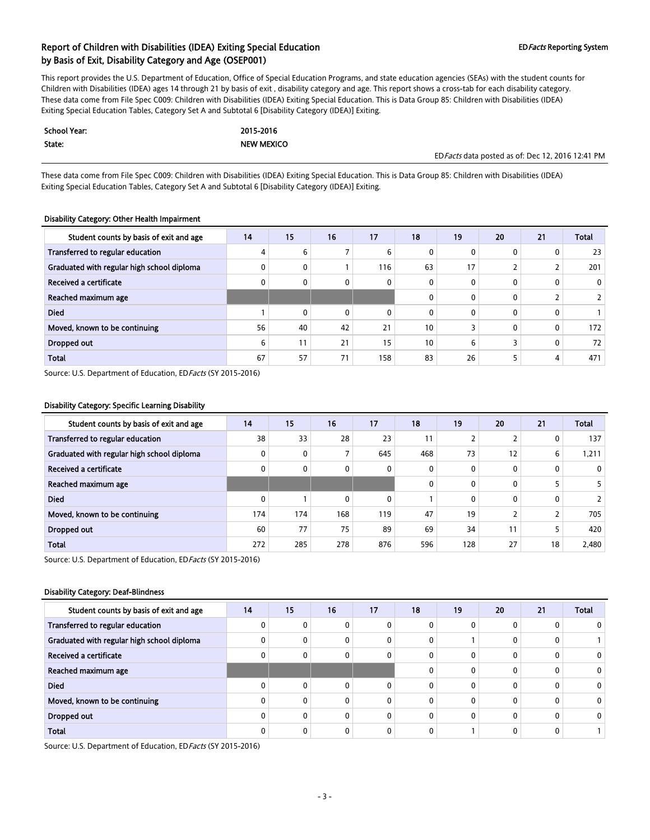This report provides the U.S. Department of Education, Office of Special Education Programs, and state education agencies (SEAs) with the student counts for Children with Disabilities (IDEA) ages 14 through 21 by basis of exit , disability category and age. This report shows a cross-tab for each disability category. These data come from File Spec C009: Children with Disabilities (IDEA) Exiting Special Education. This is Data Group 85: Children with Disabilities (IDEA) Exiting Special Education Tables, Category Set A and Subtotal 6 [Disability Category (IDEA)] Exiting.

| School Year: | 2015-2016         |                                                   |
|--------------|-------------------|---------------------------------------------------|
| State:       | <b>NEW MEXICO</b> |                                                   |
|              |                   | ED Facts data posted as of: Dec 12, 2016 12:41 PM |

These data come from File Spec C009: Children with Disabilities (IDEA) Exiting Special Education. This is Data Group 85: Children with Disabilities (IDEA) Exiting Special Education Tables, Category Set A and Subtotal 6 [Disability Category (IDEA)] Exiting.

#### Disability Category: Other Health Impairment

| Student counts by basis of exit and age    | 14 | 15           | 16 | 17  | 18              | 19 | 20           | 21           | <b>Total</b> |
|--------------------------------------------|----|--------------|----|-----|-----------------|----|--------------|--------------|--------------|
| Transferred to regular education           |    | 6            |    | 6   | 0               |    | $\mathbf{0}$ | 0            | 23           |
| Graduated with regular high school diploma |    | 0            |    | 116 | 63              | 17 |              |              | 201          |
| Received a certificate                     |    | $\mathbf{0}$ | 0  | 0   | 0               |    | 0            | $\mathbf{0}$ | $\mathbf{0}$ |
| Reached maximum age                        |    |              |    |     | 0               |    | 0            |              |              |
| <b>Died</b>                                |    | $\mathbf{0}$ | 0  | 0   | $\Omega$        |    | $\mathbf{0}$ | 0            |              |
| Moved, known to be continuing              | 56 | 40           | 42 | 21  | 10 <sup>°</sup> |    | 0            | $\mathbf{0}$ | 172          |
| Dropped out                                | 6  | 11           | 21 | 15  | 10 <sup>°</sup> | h  |              | 0            | 72           |
| <b>Total</b>                               | 67 | 57           | 71 | 158 | 83              | 26 |              | 4            | 471          |

Source: U.S. Department of Education, ED Facts (SY 2015-2016)

#### Disability Category: Specific Learning Disability

| Student counts by basis of exit and age    | 14  | 15           | 16  | 17           | 18           | 19  | 20           | 21 | <b>Total</b> |
|--------------------------------------------|-----|--------------|-----|--------------|--------------|-----|--------------|----|--------------|
| Transferred to regular education           | 38  | 33           | 28  | 23           | 11           |     |              | 0  | 137          |
| Graduated with regular high school diploma |     | 0            | 7   | 645          | 468          | 73  | 12           | 6  | 1,211        |
| Received a certificate                     |     | $\mathbf{0}$ | 0   | 0            | 0            |     | $\mathbf{0}$ | 0  | $\mathbf{0}$ |
| Reached maximum age                        |     |              |     |              | $\mathbf{0}$ |     | $\mathbf{0}$ |    |              |
| <b>Died</b>                                |     |              | 0   | $\mathbf{0}$ |              |     | $\mathbf{0}$ | 0  |              |
| Moved, known to be continuing              | 174 | 174          | 168 | 119          | 47           | 19  |              | ╮  | 705          |
| Dropped out                                | 60  | 77           | 75  | 89           | 69           | 34  | 11           | 5  | 420          |
| <b>Total</b>                               | 272 | 285          | 278 | 876          | 596          | 128 | 27           | 18 | 2,480        |

Source: U.S. Department of Education, ED Facts (SY 2015-2016)

#### Disability Category: Deaf-Blindness

| Student counts by basis of exit and age    | 14 | 15           | 16 | 17 | 18 | 19 | 20 | 21 | <b>Total</b> |
|--------------------------------------------|----|--------------|----|----|----|----|----|----|--------------|
| Transferred to regular education           |    | 0            | 0  |    |    |    |    |    |              |
| Graduated with regular high school diploma |    | $\mathbf{0}$ | 0  | 0  | 0  |    |    |    |              |
| Received a certificate                     |    | 0            | 0  |    | 0  |    |    |    |              |
| Reached maximum age                        |    |              |    |    |    |    |    |    | 0            |
| <b>Died</b>                                |    | $\mathbf{0}$ | 0  | U  | U  |    |    |    | 0            |
| Moved, known to be continuing              |    | $\mathbf{0}$ | 0  | n  | 0  |    |    |    | 0            |
| Dropped out                                |    | $\mathbf{0}$ | 0  | 0  | 0  |    |    |    | 0            |
| <b>Total</b>                               |    | 0            | 0  |    |    |    |    |    |              |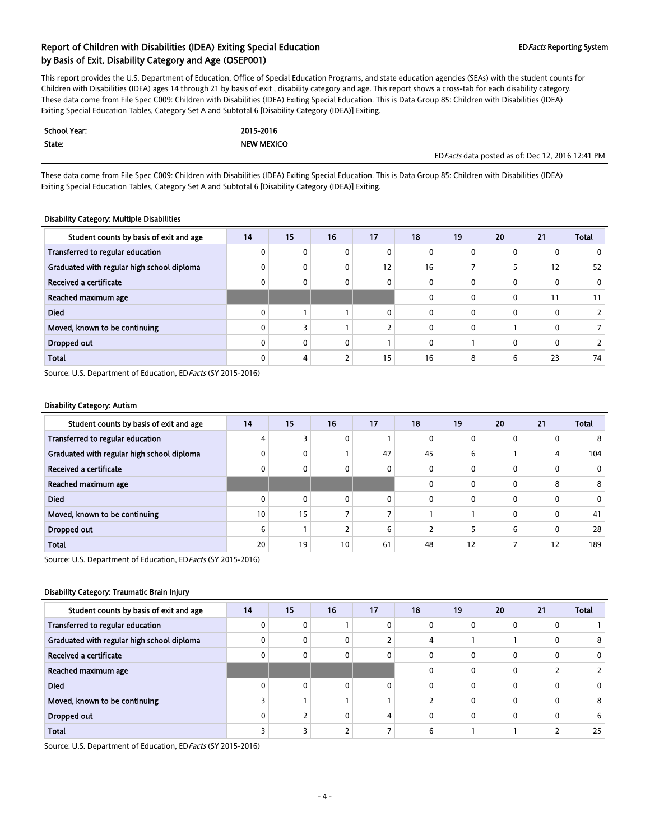This report provides the U.S. Department of Education, Office of Special Education Programs, and state education agencies (SEAs) with the student counts for Children with Disabilities (IDEA) ages 14 through 21 by basis of exit , disability category and age. This report shows a cross-tab for each disability category. These data come from File Spec C009: Children with Disabilities (IDEA) Exiting Special Education. This is Data Group 85: Children with Disabilities (IDEA) Exiting Special Education Tables, Category Set A and Subtotal 6 [Disability Category (IDEA)] Exiting.

| <b>School Year:</b> | 2015-2016         |                                                   |
|---------------------|-------------------|---------------------------------------------------|
| State:              | <b>NEW MEXICO</b> |                                                   |
|                     |                   | ED Facts data posted as of: Dec 12, 2016 12:41 PM |

These data come from File Spec C009: Children with Disabilities (IDEA) Exiting Special Education. This is Data Group 85: Children with Disabilities (IDEA) Exiting Special Education Tables, Category Set A and Subtotal 6 [Disability Category (IDEA)] Exiting.

#### Disability Category: Multiple Disabilities

| Student counts by basis of exit and age    | 14 | 15           | 16 | 17 | 18       | 19 | 20           | 21           | <b>Total</b> |
|--------------------------------------------|----|--------------|----|----|----------|----|--------------|--------------|--------------|
| Transferred to regular education           |    | 0            | 0  | 0  | 0        |    | $\mathbf{0}$ | 0            |              |
| Graduated with regular high school diploma |    | 0            | 0  | 12 | 16       |    |              | 12           | 52           |
| Received a certificate                     |    | 0            | 0  | 0  | 0        |    | 0            | $\mathbf{0}$ | 0            |
| Reached maximum age                        |    |              |    |    | 0        |    | $\mathbf{0}$ | 11           | 11           |
| <b>Died</b>                                |    |              |    | 0  | 0        |    | $\mathbf{0}$ | 0            |              |
| Moved, known to be continuing              |    |              |    |    | $\Omega$ |    |              | 0            |              |
| Dropped out                                |    | $\mathbf{0}$ | 0  |    | 0        |    | $\mathbf{0}$ | 0            |              |
| <b>Total</b>                               |    | 4            | 2  | 15 | 16       | 8  | 6            | 23           | 74           |

Source: U.S. Department of Education, ED Facts (SY 2015-2016)

#### Disability Category: Autism

| Student counts by basis of exit and age    | 14 | 15           | 16 | 17           | 18 | 19 | 20           | 21 | <b>Total</b> |
|--------------------------------------------|----|--------------|----|--------------|----|----|--------------|----|--------------|
| Transferred to regular education           |    |              | 0  |              | 0  |    | $\mathbf{0}$ | 0  | 8            |
| Graduated with regular high school diploma |    | 0            |    | 47           | 45 | b  |              | 4  | 104          |
| Received a certificate                     |    | $\mathbf{0}$ | 0  | $\mathbf{0}$ | 0  |    | 0            | 0  | 0            |
| Reached maximum age                        |    |              |    |              | 0  |    | 0            | 8  | 8            |
| <b>Died</b>                                |    | $\mathbf{0}$ | 0  | $\Omega$     | 0  |    | 0            | 0  | 0            |
| Moved, known to be continuing              | 10 | 15           |    |              |    |    | 0            | 0  | 41           |
| Dropped out                                | h  |              |    | 6            |    |    | 6            | 0  | 28           |
| <b>Total</b>                               | 20 | 19           | 10 | 61           | 48 | 12 |              | 12 | 189          |

Source: U.S. Department of Education, ED Facts (SY 2015-2016)

#### Disability Category: Traumatic Brain Injury

| Student counts by basis of exit and age    | 14 | 15           | 16 | 17 | 18 | 19 | 20 | 21 | <b>Total</b> |
|--------------------------------------------|----|--------------|----|----|----|----|----|----|--------------|
| Transferred to regular education           |    | 0            |    |    | ŋ  |    |    |    |              |
| Graduated with regular high school diploma |    | 0            | 0  |    | 4  |    |    |    | 8            |
| Received a certificate                     |    | 0            | 0  | O  | 0  |    |    |    | 0            |
| Reached maximum age                        |    |              |    |    |    |    |    |    |              |
| <b>Died</b>                                |    | $\mathbf{0}$ | 0  | n  | 0  |    |    |    | 0            |
| Moved, known to be continuing              |    |              |    |    |    |    |    |    | 8            |
| Dropped out                                |    |              | 0  | 4  | U  |    |    |    | 6            |
| <b>Total</b>                               |    |              |    |    | 6  |    |    |    | 25           |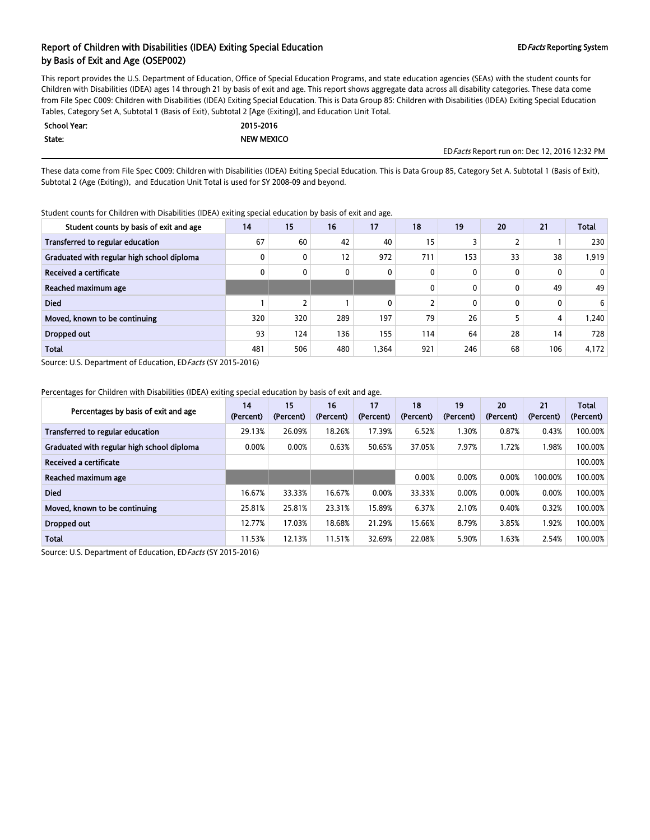This report provides the U.S. Department of Education, Office of Special Education Programs, and state education agencies (SEAs) with the student counts for Children with Disabilities (IDEA) ages 14 through 21 by basis of exit and age. This report shows aggregate data across all disability categories. These data come from File Spec C009: Children with Disabilities (IDEA) Exiting Special Education. This is Data Group 85: Children with Disabilities (IDEA) Exiting Special Education Tables, Category Set A, Subtotal 1 (Basis of Exit), Subtotal 2 [Age (Exiting)], and Education Unit Total.

| School Year: | 2015-2016         |
|--------------|-------------------|
| State:       | <b>NEW MEXICO</b> |

EDFacts Report run on: Dec 12, 2016 12:32 PM

These data come from File Spec C009: Children with Disabilities (IDEA) Exiting Special Education. This is Data Group 85, Category Set A. Subtotal 1 (Basis of Exit), Subtotal 2 (Age (Exiting)), and Education Unit Total is used for SY 2008-09 and beyond.

Student counts for Children with Disabilities (IDEA) exiting special education by basis of exit and age.

| Student counts by basis of exit and age    | 14  | 15  | 16  | 17   | 18  | 19  | 20 | 21  | <b>Total</b> |
|--------------------------------------------|-----|-----|-----|------|-----|-----|----|-----|--------------|
| Transferred to regular education           | 67  | 60  | 42  | 40   | 15  |     |    |     | 230          |
| Graduated with regular high school diploma |     | 0   | 12  | 972  | 711 | 153 | 33 | 38  | 1,919        |
| Received a certificate                     |     | 0   | 0   | 0    | 0   | 0   | 0  | 0   | $\mathbf{0}$ |
| Reached maximum age                        |     |     |     |      | 0   | 0   | 0  | 49  | 49           |
| <b>Died</b>                                |     |     |     | 0    |     | 0   | 0  | 0   | 6            |
| Moved, known to be continuing              | 320 | 320 | 289 | 197  | 79  | 26  |    | 4   | 240. ا       |
| Dropped out                                | 93  | 124 | 136 | 155  | 114 | 64  | 28 | 14  | 728          |
| <b>Total</b>                               | 481 | 506 | 480 | .364 | 921 | 246 | 68 | 106 | 4,172        |

Source: U.S. Department of Education, ED Facts (SY 2015-2016)

Percentages for Children with Disabilities (IDEA) exiting special education by basis of exit and age.

| Percentages by basis of exit and age       | 14<br>(Percent) | 15<br>(Percent) | 16<br>(Percent) | 17<br>(Percent) | 18<br>(Percent) | 19<br>(Percent) | 20<br>(Percent) | 21<br>(Percent) | <b>Total</b><br>(Percent) |
|--------------------------------------------|-----------------|-----------------|-----------------|-----------------|-----------------|-----------------|-----------------|-----------------|---------------------------|
| Transferred to regular education           | 29.13%          | 26.09%          | 18.26%          | 17.39%          | 6.52%           | 1.30%           | 0.87%           | 0.43%           | 100.00%                   |
| Graduated with regular high school diploma | 0.00%           | 0.00%           | 0.63%           | 50.65%          | 37.05%          | 7.97%           | 1.72%           | .98%            | 100.00%                   |
| Received a certificate                     |                 |                 |                 |                 |                 |                 |                 |                 | 100.00%                   |
| Reached maximum age                        |                 |                 |                 |                 | 0.00%           | 0.00%           | 0.00%           | 100.00%         | 100.00%                   |
| <b>Died</b>                                | 16.67%          | 33.33%          | 16.67%          | 0.00%           | 33.33%          | 0.00%           | 0.00%           | 0.00%           | 100.00%                   |
| Moved, known to be continuing              | 25.81%          | 25.81%          | 23.31%          | 15.89%          | 6.37%           | 2.10%           | 0.40%           | 0.32%           | 100.00%                   |
| Dropped out                                | 12.77%          | 17.03%          | 18.68%          | 21.29%          | 15.66%          | 8.79%           | 3.85%           | .92%            | 100.00%                   |
| <b>Total</b>                               | 11.53%          | 12.13%          | 11.51%          | 32.69%          | 22.08%          | 5.90%           | 1.63%           | 2.54%           | 100.00%                   |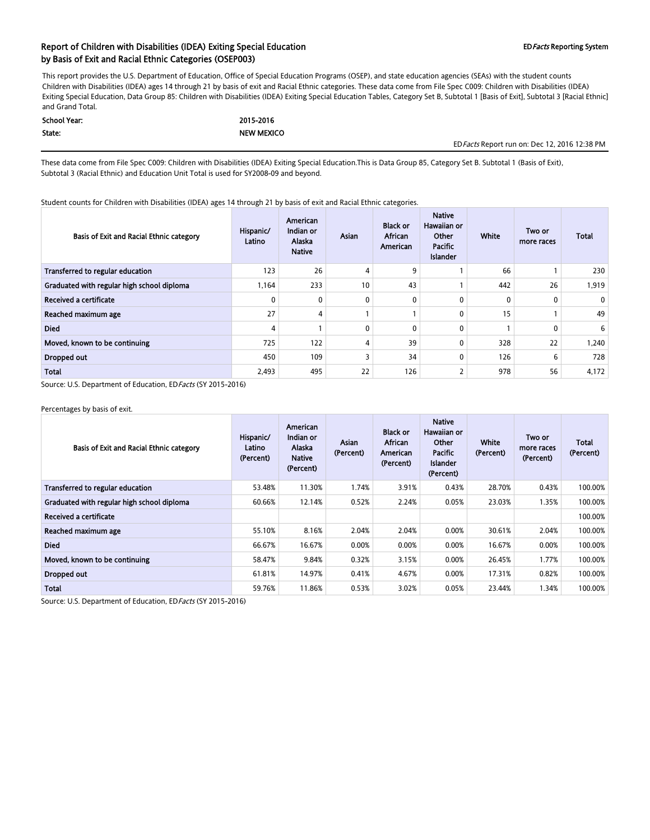### Report of Children with Disabilities (IDEA) Exiting Special Education EDFacts Reporting System by Basis of Exit and Racial Ethnic Categories (OSEP003)

This report provides the U.S. Department of Education, Office of Special Education Programs (OSEP), and state education agencies (SEAs) with the student counts Children with Disabilities (IDEA) ages 14 through 21 by basis of exit and Racial Ethnic categories. These data come from File Spec C009: Children with Disabilities (IDEA) Exiting Special Education, Data Group 85: Children with Disabilities (IDEA) Exiting Special Education Tables, Category Set B, Subtotal 1 [Basis of Exit], Subtotal 3 [Racial Ethnic] and Grand Total.

| School Year: | 2015-2016         |
|--------------|-------------------|
| State:       | <b>NEW MEXICO</b> |

EDFacts Report run on: Dec 12, 2016 12:38 PM

These data come from File Spec C009: Children with Disabilities (IDEA) Exiting Special Education.This is Data Group 85, Category Set B. Subtotal 1 (Basis of Exit), Subtotal 3 (Racial Ethnic) and Education Unit Total is used for SY2008-09 and beyond.

Student counts for Children with Disabilities (IDEA) ages 14 through 21 by basis of exit and Racial Ethnic categories.

| Basis of Exit and Racial Ethnic category   | Hispanic/<br>Latino | American<br>Indian or<br>Alaska<br><b>Native</b> | Asian        | <b>Black or</b><br>African<br>American | <b>Native</b><br>Hawaiian or<br>Other<br>Pacific<br><b>Islander</b> | White        | Two or<br>more races | <b>Total</b> |
|--------------------------------------------|---------------------|--------------------------------------------------|--------------|----------------------------------------|---------------------------------------------------------------------|--------------|----------------------|--------------|
| Transferred to regular education           | 123                 | 26                                               | 4            | 9                                      |                                                                     | 66           |                      | 230          |
| Graduated with regular high school diploma | 1,164               | 233                                              | 10           | 43                                     |                                                                     | 442          | 26                   | 1,919        |
| Received a certificate                     | 0                   | 0                                                | 0            | 0                                      | $\mathbf{0}$                                                        | $\mathbf{0}$ | 0                    | 0            |
| Reached maximum age                        | 27                  | 4                                                |              |                                        | $\mathbf{0}$                                                        | 15           |                      | 49           |
| <b>Died</b>                                | 4                   |                                                  | $\mathbf{0}$ | $\mathbf{0}$                           | $\mathbf{0}$                                                        |              | 0                    | 6            |
| Moved, known to be continuing              | 725                 | 122                                              | 4            | 39                                     | $\Omega$                                                            | 328          | 22                   | 1.240        |
| Dropped out                                | 450                 | 109                                              | 3            | 34                                     | $\Omega$                                                            | 126          | 6                    | 728          |
| Total                                      | 2,493               | 495                                              | 22           | 126                                    | 2                                                                   | 978          | 56                   | 4,172        |

Source: U.S. Department of Education, EDFacts (SY 2015-2016)

Percentages by basis of exit.

| Basis of Exit and Racial Ethnic category   | Hispanic/<br>Latino<br>(Percent) | American<br>Indian or<br>Alaska<br><b>Native</b><br>(Percent) | Asian<br>(Percent) | <b>Black or</b><br>African<br>American<br>(Percent) | <b>Native</b><br>Hawaiian or<br>Other<br>Pacific<br>Islander<br>(Percent) | White<br>(Percent) | Two or<br>more races<br>(Percent) | <b>Total</b><br>(Percent) |
|--------------------------------------------|----------------------------------|---------------------------------------------------------------|--------------------|-----------------------------------------------------|---------------------------------------------------------------------------|--------------------|-----------------------------------|---------------------------|
| Transferred to regular education           | 53.48%                           | 11.30%                                                        | 1.74%              | 3.91%                                               | 0.43%                                                                     | 28.70%             | 0.43%                             | 100.00%                   |
| Graduated with regular high school diploma | 60.66%                           | 12.14%                                                        | 0.52%              | 2.24%                                               | 0.05%                                                                     | 23.03%             | 1.35%                             | 100.00%                   |
| Received a certificate                     |                                  |                                                               |                    |                                                     |                                                                           |                    |                                   | 100.00%                   |
| Reached maximum age                        | 55.10%                           | 8.16%                                                         | 2.04%              | 2.04%                                               | 0.00%                                                                     | 30.61%             | 2.04%                             | 100.00%                   |
| <b>Died</b>                                | 66.67%                           | 16.67%                                                        | 0.00%              | 0.00%                                               | 0.00%                                                                     | 16.67%             | 0.00%                             | 100.00%                   |
| Moved, known to be continuing              | 58.47%                           | 9.84%                                                         | 0.32%              | 3.15%                                               | 0.00%                                                                     | 26.45%             | 1.77%                             | 100.00%                   |
| Dropped out                                | 61.81%                           | 14.97%                                                        | 0.41%              | 4.67%                                               | 0.00%                                                                     | 17.31%             | 0.82%                             | 100.00%                   |
| <b>Total</b>                               | 59.76%                           | 11.86%                                                        | 0.53%              | 3.02%                                               | 0.05%                                                                     | 23.44%             | 1.34%                             | 100.00%                   |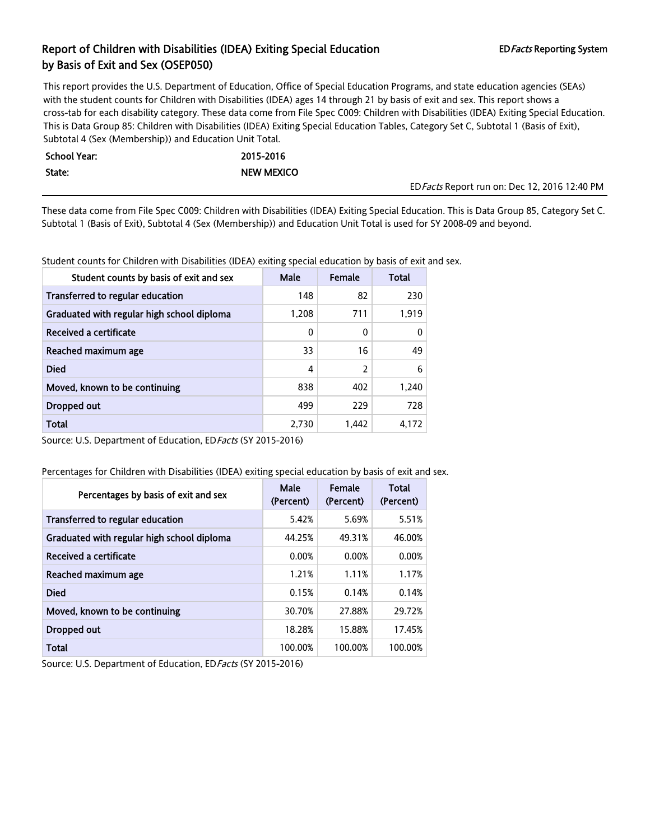This report provides the U.S. Department of Education, Office of Special Education Programs, and state education agencies (SEAs) with the student counts for Children with Disabilities (IDEA) ages 14 through 21 by basis of exit and sex. This report shows a cross-tab for each disability category. These data come from File Spec C009: Children with Disabilities (IDEA) Exiting Special Education. This is Data Group 85: Children with Disabilities (IDEA) Exiting Special Education Tables, Category Set C, Subtotal 1 (Basis of Exit), Subtotal 4 (Sex (Membership)) and Education Unit Total.

| - School Year: I | 2015-2016         |
|------------------|-------------------|
| State:           | <b>NEW MEXICO</b> |

EDFacts Report run on: Dec 12, 2016 12:40 PM

These data come from File Spec C009: Children with Disabilities (IDEA) Exiting Special Education. This is Data Group 85, Category Set C. Subtotal 1 (Basis of Exit), Subtotal 4 (Sex (Membership)) and Education Unit Total is used for SY 2008-09 and beyond.

Student counts for Children with Disabilities (IDEA) exiting special education by basis of exit and sex.

| Student counts by basis of exit and sex    | <b>Male</b> | Female | Total |
|--------------------------------------------|-------------|--------|-------|
| Transferred to regular education           | 148         | 82     | 230   |
| Graduated with regular high school diploma | 1,208       | 711    | 1.919 |
| Received a certificate                     | 0           | 0      | 0     |
| Reached maximum age                        | 33          | 16     | 49    |
| <b>Died</b>                                | 4           | 2      | 6     |
| Moved, known to be continuing              | 838         | 402    | 1.240 |
| Dropped out                                | 499         | 229    | 728   |
| Total                                      | 2,730       | 1,442  | 4.172 |

Source: U.S. Department of Education, ED Facts (SY 2015-2016)

Percentages for Children with Disabilities (IDEA) exiting special education by basis of exit and sex.

| Percentages by basis of exit and sex       | Male<br>(Percent) | Female<br>(Percent) | <b>Total</b><br>(Percent) |
|--------------------------------------------|-------------------|---------------------|---------------------------|
| Transferred to regular education           | 5.42%             | 5.69%               | 5.51%                     |
| Graduated with regular high school diploma | 44.25%            | 49.31%              | 46.00%                    |
| <b>Received a certificate</b>              | 0.00%             | 0.00%               | 0.00%                     |
| Reached maximum age                        | 1.21%             | 1.11%               | 1.17%                     |
| <b>Died</b>                                | 0.15%             | 0.14%               | 0.14%                     |
| Moved, known to be continuing              | 30.70%            | 27.88%              | 29.72%                    |
| Dropped out                                | 18.28%            | 15.88%              | 17.45%                    |
| <b>Total</b>                               | 100.00%           | 100.00%             | 100.00%                   |